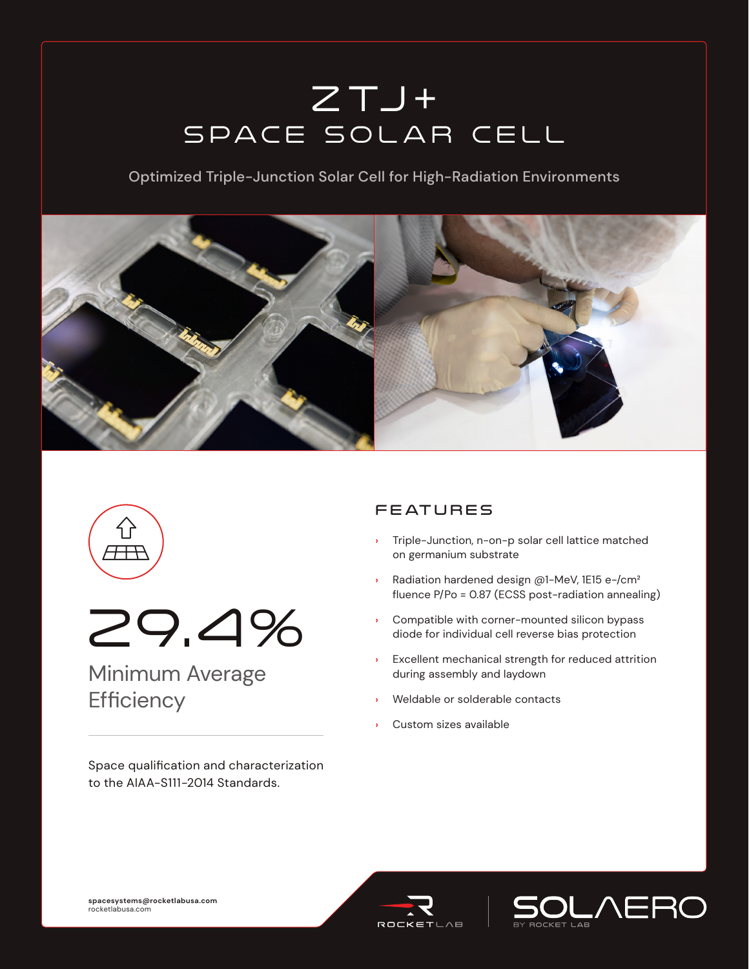# $Z$  T $J$  + SPACE SOLAR CELL

Optimized Triple-Junction Solar Cell for High-Radiation Environments







## Minimum Average **Efficiency**

Space qualification and characterization to the AIAA-S111-2014 Standards.

### **FEATURES**

- **›** Triple-Junction, n-on-p solar cell lattice matched on germanium substrate
- **›** Radiation hardened design @1-MeV, 1E15 e-/cm² fluence P/Po = 0.87 (ECSS post-radiation annealing)
- **›** Compatible with corner-mounted silicon bypass diode for individual cell reverse bias protection
- **›** Excellent mechanical strength for reduced attrition during assembly and laydown
- **›** Weldable or solderable contacts
- **›** Custom sizes available